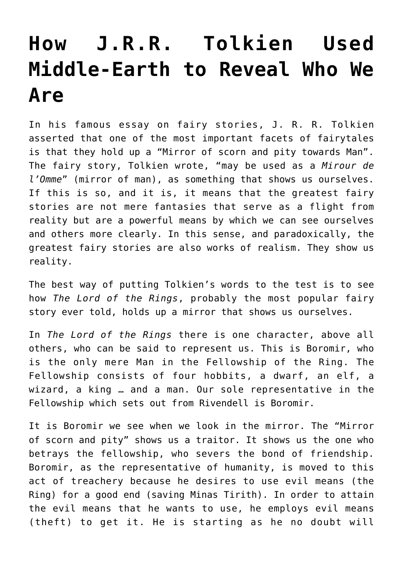## **[How J.R.R. Tolkien Used](https://intellectualtakeout.org/2017/03/how-j-r-r-tolkien-used-middle-earth-to-reveal-who-we-are/) [Middle-Earth to Reveal Who We](https://intellectualtakeout.org/2017/03/how-j-r-r-tolkien-used-middle-earth-to-reveal-who-we-are/) [Are](https://intellectualtakeout.org/2017/03/how-j-r-r-tolkien-used-middle-earth-to-reveal-who-we-are/)**

In his famous essay on fairy stories, J. R. R. Tolkien asserted that one of the most important facets of fairytales is that they hold up a "Mirror of scorn and pity towards Man". The fairy story, Tolkien wrote, "may be used as a *Mirour de l'Omme*" (mirror of man), as something that shows us ourselves. If this is so, and it is, it means that the greatest fairy stories are not mere fantasies that serve as a flight from reality but are a powerful means by which we can see ourselves and others more clearly. In this sense, and paradoxically, the greatest fairy stories are also works of realism. They show us reality.

The best way of putting Tolkien's words to the test is to see how *The Lord of the Rings*, probably the most popular fairy story ever told, holds up a mirror that shows us ourselves.

In *The Lord of the Rings* there is one character, above all others, who can be said to represent us. This is Boromir, who is the only mere Man in the Fellowship of the Ring. The Fellowship consists of four hobbits, a dwarf, an elf, a wizard, a king … and a man. Our sole representative in the Fellowship which sets out from Rivendell is Boromir.

It is Boromir we see when we look in the mirror. The "Mirror of scorn and pity" shows us a traitor. It shows us the one who betrays the fellowship, who severs the bond of friendship. Boromir, as the representative of humanity, is moved to this act of treachery because he desires to use evil means (the Ring) for a good end (saving Minas Tirith). In order to attain the evil means that he wants to use, he employs evil means (theft) to get it. He is starting as he no doubt will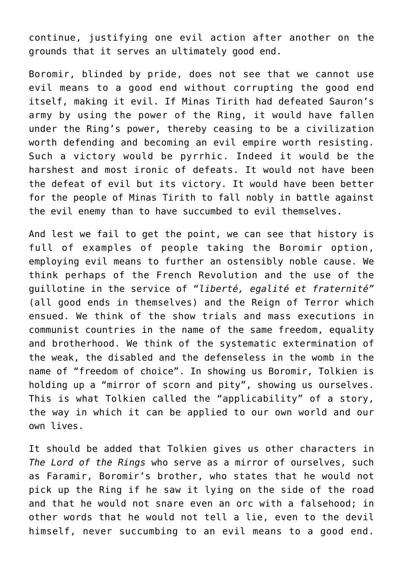continue, justifying one evil action after another on the grounds that it serves an ultimately good end.

Boromir, blinded by pride, does not see that we cannot use evil means to a good end without corrupting the good end itself, making it evil. If Minas Tirith had defeated Sauron's army by using the power of the Ring, it would have fallen under the Ring's power, thereby ceasing to be a civilization worth defending and becoming an evil empire worth resisting. Such a victory would be pyrrhic. Indeed it would be the harshest and most ironic of defeats. It would not have been the defeat of evil but its victory. It would have been better for the people of Minas Tirith to fall nobly in battle against the evil enemy than to have succumbed to evil themselves.

And lest we fail to get the point, we can see that history is full of examples of people taking the Boromir option, employing evil means to further an ostensibly noble cause. We think perhaps of the French Revolution and the use of the guillotine in the service of "*liberté, egalité et fraternité"* (all good ends in themselves) and the Reign of Terror which ensued. We think of the show trials and mass executions in communist countries in the name of the same freedom, equality and brotherhood. We think of the systematic extermination of the weak, the disabled and the defenseless in the womb in the name of "freedom of choice". In showing us Boromir, Tolkien is holding up a "mirror of scorn and pity", showing us ourselves. This is what Tolkien called the "applicability" of a story, the way in which it can be applied to our own world and our own lives.

It should be added that Tolkien gives us other characters in *The Lord of the Rings* who serve as a mirror of ourselves, such as Faramir, Boromir's brother, who states that he would not pick up the Ring if he saw it lying on the side of the road and that he would not snare even an orc with a falsehood; in other words that he would not tell a lie, even to the devil himself, never succumbing to an evil means to a good end.